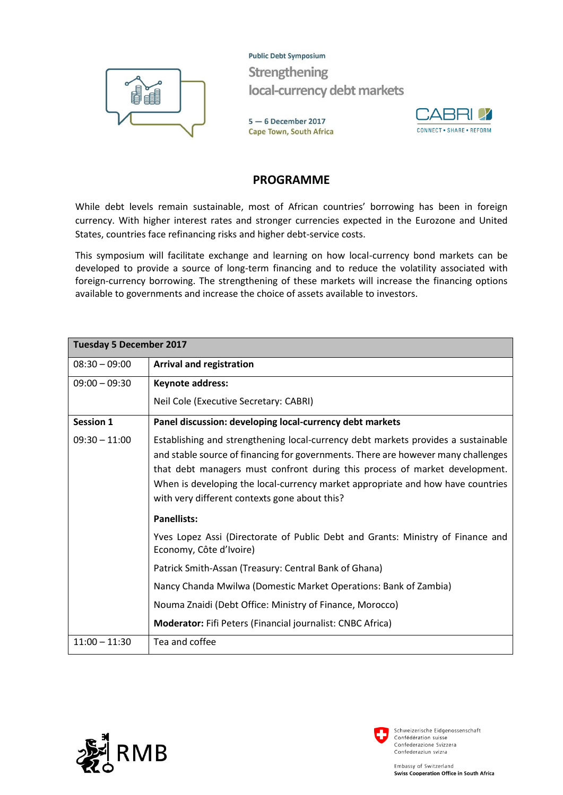

**Public Debt Symposium** Strengthening local-currency debt markets

 $5 - 6$  December 2017 **Cape Town, South Africa** 



## **PROGRAMME**

While debt levels remain sustainable, most of African countries' borrowing has been in foreign currency. With higher interest rates and stronger currencies expected in the Eurozone and United States, countries face refinancing risks and higher debt-service costs.

This symposium will facilitate exchange and learning on how local-currency bond markets can be developed to provide a source of long-term financing and to reduce the volatility associated with foreign-currency borrowing. The strengthening of these markets will increase the financing options available to governments and increase the choice of assets available to investors.

| <b>Tuesday 5 December 2017</b> |                                                                                                                                                                                                                                                                                                                                                                                           |  |
|--------------------------------|-------------------------------------------------------------------------------------------------------------------------------------------------------------------------------------------------------------------------------------------------------------------------------------------------------------------------------------------------------------------------------------------|--|
| $08:30 - 09:00$                | <b>Arrival and registration</b>                                                                                                                                                                                                                                                                                                                                                           |  |
| $09:00 - 09:30$                | Keynote address:                                                                                                                                                                                                                                                                                                                                                                          |  |
|                                | Neil Cole (Executive Secretary: CABRI)                                                                                                                                                                                                                                                                                                                                                    |  |
| <b>Session 1</b>               | Panel discussion: developing local-currency debt markets                                                                                                                                                                                                                                                                                                                                  |  |
| $09:30 - 11:00$                | Establishing and strengthening local-currency debt markets provides a sustainable<br>and stable source of financing for governments. There are however many challenges<br>that debt managers must confront during this process of market development.<br>When is developing the local-currency market appropriate and how have countries<br>with very different contexts gone about this? |  |
|                                | <b>Panellists:</b>                                                                                                                                                                                                                                                                                                                                                                        |  |
|                                | Yves Lopez Assi (Directorate of Public Debt and Grants: Ministry of Finance and<br>Economy, Côte d'Ivoire)                                                                                                                                                                                                                                                                                |  |
|                                | Patrick Smith-Assan (Treasury: Central Bank of Ghana)                                                                                                                                                                                                                                                                                                                                     |  |
|                                | Nancy Chanda Mwilwa (Domestic Market Operations: Bank of Zambia)                                                                                                                                                                                                                                                                                                                          |  |
|                                | Nouma Znaidi (Debt Office: Ministry of Finance, Morocco)                                                                                                                                                                                                                                                                                                                                  |  |
|                                | Moderator: Fifi Peters (Financial journalist: CNBC Africa)                                                                                                                                                                                                                                                                                                                                |  |
| $11:00 - 11:30$                | Tea and coffee                                                                                                                                                                                                                                                                                                                                                                            |  |



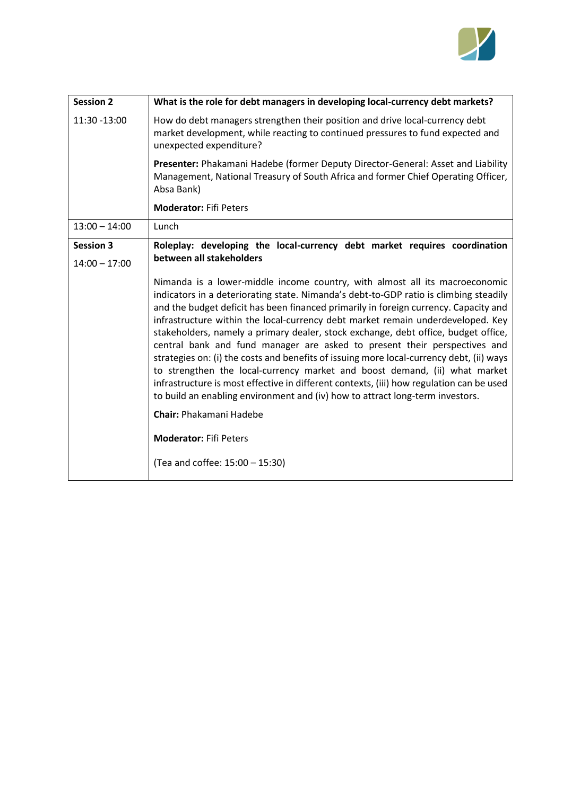

| <b>Session 2</b> | What is the role for debt managers in developing local-currency debt markets?                                                                                                                                                                                                                                                                                                                                                                                                                                                                                                                                                                                                                                                                                                                                                                                                                                                                                                   |
|------------------|---------------------------------------------------------------------------------------------------------------------------------------------------------------------------------------------------------------------------------------------------------------------------------------------------------------------------------------------------------------------------------------------------------------------------------------------------------------------------------------------------------------------------------------------------------------------------------------------------------------------------------------------------------------------------------------------------------------------------------------------------------------------------------------------------------------------------------------------------------------------------------------------------------------------------------------------------------------------------------|
| 11:30 -13:00     | How do debt managers strengthen their position and drive local-currency debt<br>market development, while reacting to continued pressures to fund expected and<br>unexpected expenditure?                                                                                                                                                                                                                                                                                                                                                                                                                                                                                                                                                                                                                                                                                                                                                                                       |
|                  | Presenter: Phakamani Hadebe (former Deputy Director-General: Asset and Liability<br>Management, National Treasury of South Africa and former Chief Operating Officer,<br>Absa Bank)                                                                                                                                                                                                                                                                                                                                                                                                                                                                                                                                                                                                                                                                                                                                                                                             |
|                  | <b>Moderator: Fifi Peters</b>                                                                                                                                                                                                                                                                                                                                                                                                                                                                                                                                                                                                                                                                                                                                                                                                                                                                                                                                                   |
| $13:00 - 14:00$  | Lunch                                                                                                                                                                                                                                                                                                                                                                                                                                                                                                                                                                                                                                                                                                                                                                                                                                                                                                                                                                           |
| <b>Session 3</b> | Roleplay: developing the local-currency debt market requires coordination                                                                                                                                                                                                                                                                                                                                                                                                                                                                                                                                                                                                                                                                                                                                                                                                                                                                                                       |
| $14:00 - 17:00$  | between all stakeholders                                                                                                                                                                                                                                                                                                                                                                                                                                                                                                                                                                                                                                                                                                                                                                                                                                                                                                                                                        |
|                  | Nimanda is a lower-middle income country, with almost all its macroeconomic<br>indicators in a deteriorating state. Nimanda's debt-to-GDP ratio is climbing steadily<br>and the budget deficit has been financed primarily in foreign currency. Capacity and<br>infrastructure within the local-currency debt market remain underdeveloped. Key<br>stakeholders, namely a primary dealer, stock exchange, debt office, budget office,<br>central bank and fund manager are asked to present their perspectives and<br>strategies on: (i) the costs and benefits of issuing more local-currency debt, (ii) ways<br>to strengthen the local-currency market and boost demand, (ii) what market<br>infrastructure is most effective in different contexts, (iii) how regulation can be used<br>to build an enabling environment and (iv) how to attract long-term investors.<br><b>Chair: Phakamani Hadebe</b><br><b>Moderator: Fifi Peters</b><br>(Tea and coffee: 15:00 - 15:30) |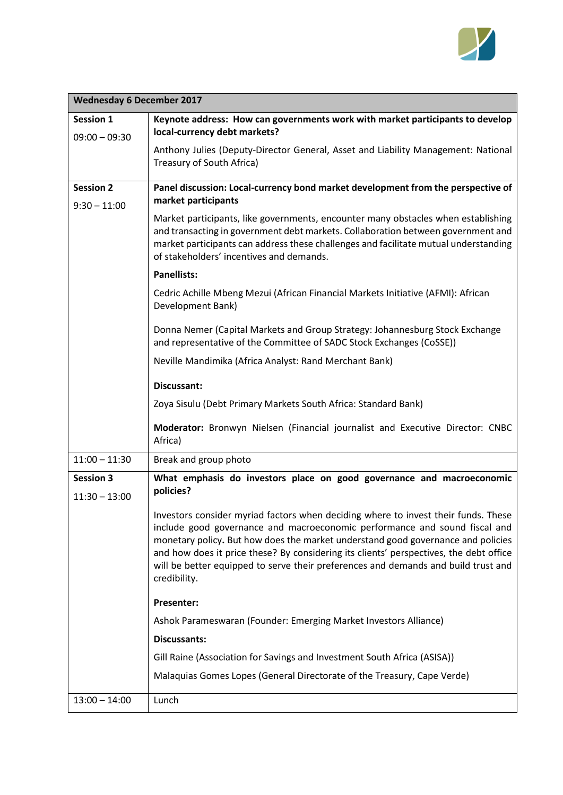

| <b>Wednesday 6 December 2017</b>    |                                                                                                                                                                                                                                                                                                                                                                                                                                                      |  |
|-------------------------------------|------------------------------------------------------------------------------------------------------------------------------------------------------------------------------------------------------------------------------------------------------------------------------------------------------------------------------------------------------------------------------------------------------------------------------------------------------|--|
| Session 1                           | Keynote address: How can governments work with market participants to develop<br>local-currency debt markets?                                                                                                                                                                                                                                                                                                                                        |  |
| $09:00 - 09:30$                     | Anthony Julies (Deputy-Director General, Asset and Liability Management: National<br>Treasury of South Africa)                                                                                                                                                                                                                                                                                                                                       |  |
| <b>Session 2</b><br>$9:30 - 11:00$  | Panel discussion: Local-currency bond market development from the perspective of<br>market participants                                                                                                                                                                                                                                                                                                                                              |  |
|                                     | Market participants, like governments, encounter many obstacles when establishing<br>and transacting in government debt markets. Collaboration between government and<br>market participants can address these challenges and facilitate mutual understanding<br>of stakeholders' incentives and demands.                                                                                                                                            |  |
|                                     | <b>Panellists:</b>                                                                                                                                                                                                                                                                                                                                                                                                                                   |  |
|                                     | Cedric Achille Mbeng Mezui (African Financial Markets Initiative (AFMI): African<br>Development Bank)                                                                                                                                                                                                                                                                                                                                                |  |
|                                     | Donna Nemer (Capital Markets and Group Strategy: Johannesburg Stock Exchange<br>and representative of the Committee of SADC Stock Exchanges (CoSSE))                                                                                                                                                                                                                                                                                                 |  |
|                                     | Neville Mandimika (Africa Analyst: Rand Merchant Bank)                                                                                                                                                                                                                                                                                                                                                                                               |  |
|                                     | Discussant:                                                                                                                                                                                                                                                                                                                                                                                                                                          |  |
|                                     | Zoya Sisulu (Debt Primary Markets South Africa: Standard Bank)                                                                                                                                                                                                                                                                                                                                                                                       |  |
|                                     | Moderator: Bronwyn Nielsen (Financial journalist and Executive Director: CNBC<br>Africa)                                                                                                                                                                                                                                                                                                                                                             |  |
| $11:00 - 11:30$                     | Break and group photo                                                                                                                                                                                                                                                                                                                                                                                                                                |  |
| <b>Session 3</b><br>$11:30 - 13:00$ | What emphasis do investors place on good governance and macroeconomic<br>policies?                                                                                                                                                                                                                                                                                                                                                                   |  |
|                                     | Investors consider myriad factors when deciding where to invest their funds. These<br>include good governance and macroeconomic performance and sound fiscal and<br>monetary policy. But how does the market understand good governance and policies<br>and how does it price these? By considering its clients' perspectives, the debt office<br>will be better equipped to serve their preferences and demands and build trust and<br>credibility. |  |
|                                     | Presenter:                                                                                                                                                                                                                                                                                                                                                                                                                                           |  |
|                                     | Ashok Parameswaran (Founder: Emerging Market Investors Alliance)                                                                                                                                                                                                                                                                                                                                                                                     |  |
|                                     | <b>Discussants:</b>                                                                                                                                                                                                                                                                                                                                                                                                                                  |  |
|                                     | Gill Raine (Association for Savings and Investment South Africa (ASISA))                                                                                                                                                                                                                                                                                                                                                                             |  |
|                                     | Malaquias Gomes Lopes (General Directorate of the Treasury, Cape Verde)                                                                                                                                                                                                                                                                                                                                                                              |  |
| $13:00 - 14:00$                     | Lunch                                                                                                                                                                                                                                                                                                                                                                                                                                                |  |